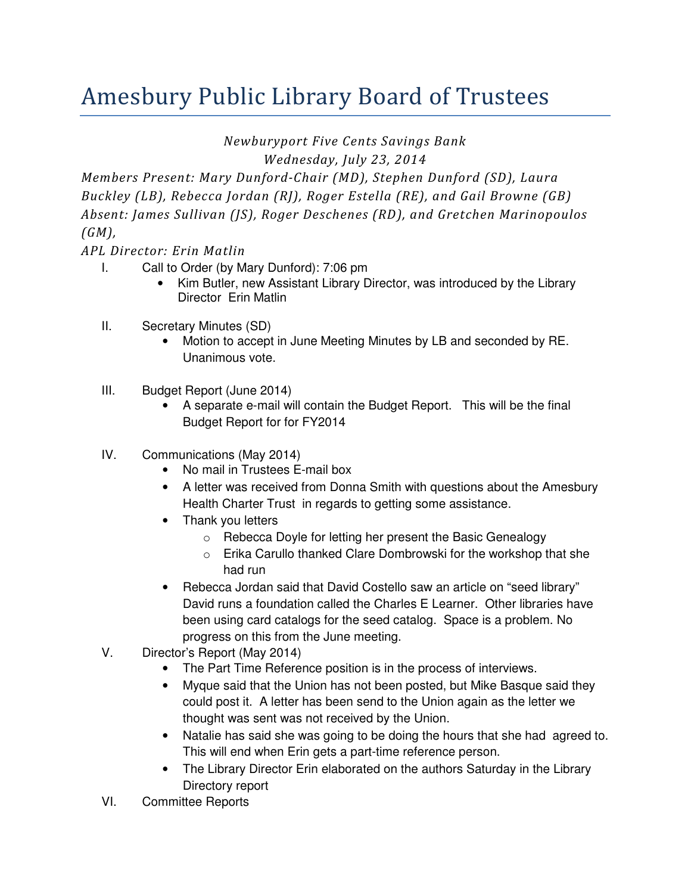## Amesbury Public Library Board of Trustees

Newburyport Five Cents Savings Bank

Wednesday, July 23, 2014

Members Present: Mary Dunford-Chair (MD), Stephen Dunford (SD), Laura Buckley (LB), Rebecca Jordan (RJ), Roger Estella (RE), and Gail Browne (GB) Absent: James Sullivan (JS), Roger Deschenes (RD), and Gretchen Marinopoulos (GM),

APL Director: Erin Matlin

- I. Call to Order (by Mary Dunford): 7:06 pm
	- Kim Butler, new Assistant Library Director, was introduced by the Library Director Erin Matlin
- II. Secretary Minutes (SD)
	- Motion to accept in June Meeting Minutes by LB and seconded by RE. Unanimous vote.
- III. Budget Report (June 2014)
	- A separate e-mail will contain the Budget Report. This will be the final Budget Report for for FY2014
- IV. Communications (May 2014)
	- No mail in Trustees E-mail box
	- A letter was received from Donna Smith with questions about the Amesbury Health Charter Trust in regards to getting some assistance.
	- Thank you letters
		- o Rebecca Doyle for letting her present the Basic Genealogy
		- o Erika Carullo thanked Clare Dombrowski for the workshop that she had run
	- Rebecca Jordan said that David Costello saw an article on "seed library" David runs a foundation called the Charles E Learner. Other libraries have been using card catalogs for the seed catalog. Space is a problem. No progress on this from the June meeting.
- V. Director's Report (May 2014)
	- The Part Time Reference position is in the process of interviews.
	- Myque said that the Union has not been posted, but Mike Basque said they could post it. A letter has been send to the Union again as the letter we thought was sent was not received by the Union.
	- Natalie has said she was going to be doing the hours that she had agreed to. This will end when Erin gets a part-time reference person.
	- The Library Director Erin elaborated on the authors Saturday in the Library Directory report
- VI. Committee Reports